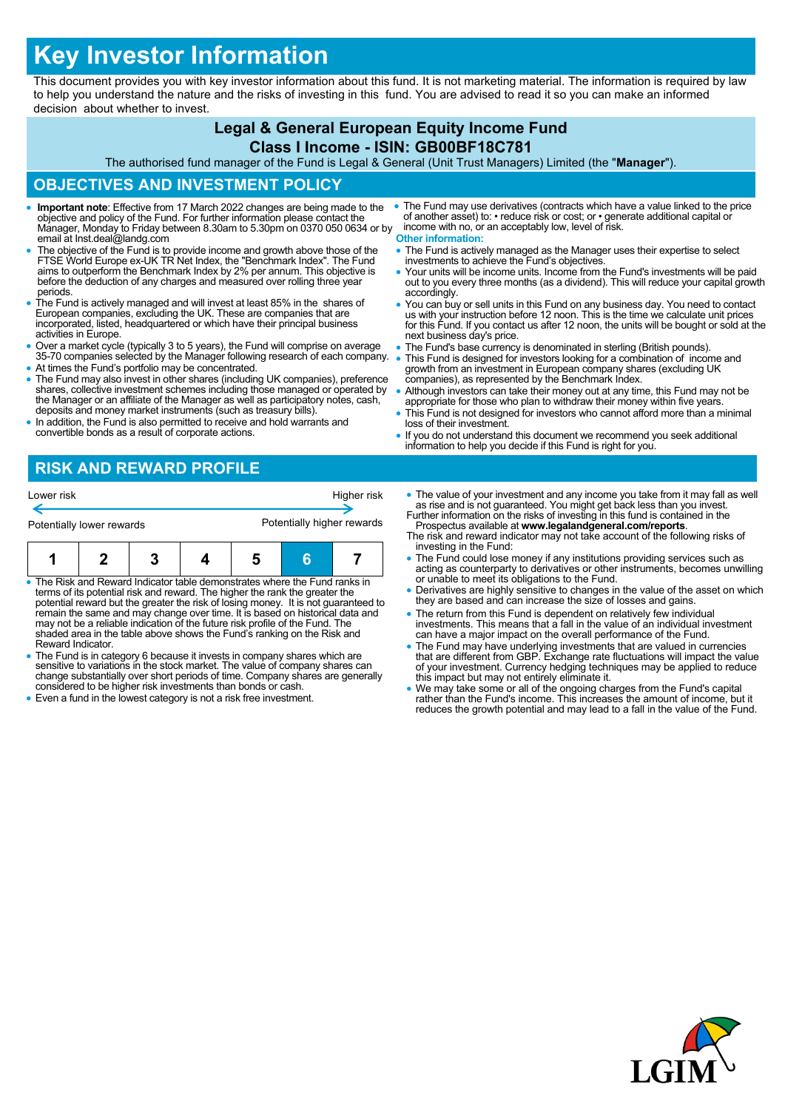# **Key Investor Information**

This document provides you with key investor information about this fund. It is not marketing material. The information is required by law to help you understand the nature and the risks of investing in this fund. You are advised to read it so you can make an informed decision about whether to invest.

# **Legal & General European Equity Income Fund Class I Income - ISIN: GB00BF18C781**

The authorised fund manager of the Fund is Legal & General (Unit Trust Managers) Limited (the "**Manager**").

## **OBJECTIVES AND INVESTMENT POLICY**

- **Important note**: Effective from 17 March 2022 changes are being made to the objective and policy of the Fund. For further information please contact the Manager, Monday to Friday between 8.30am to 5.30pm on 0370 050 0634 or by email at Inst.deal@landg.com
- The objective of the Fund is to provide income and growth above those of the FTSE World Europe ex-UK TR Net Index, the "Benchmark Index". The Fund aims to outperform the Benchmark Index by 2% per annum. This objective is before the deduction of any charges and measured over rolling three year periods.
- The Fund is actively managed and will invest at least 85% in the shares of European companies, excluding the UK. These are companies that are incorporated, listed, headquartered or which have their principal business activities in Europe.
- Over a market cycle (typically 3 to 5 years), the Fund will comprise on average 35-70 companies selected by the Manager following research of each company.
- At times the Fund's portfolio may be concentrated.
- The Fund may also invest in other shares (including UK companies), preference shares, collective investment schemes including those managed or operated by the Manager or an affiliate of the Manager as well as participatory notes, cash, deposits and money market instruments (such as treasury bills).
- In addition, the Fund is also permitted to receive and hold warrants and convertible bonds as a result of corporate actions.
- The Fund may use derivatives (contracts which have a value linked to the price of another asset) to: • reduce risk or cost; or • generate additional capital or income with no, or an acceptably low, level of risk. **Other information:**
- The Fund is actively managed as the Manager uses their expertise to select investments to achieve the Fund's objectives.
- Your units will be income units. Income from the Fund's investments will be paid out to you every three months (as a dividend). This will reduce your capital growth accordingly.
- You can buy or sell units in this Fund on any business day. You need to contact us with your instruction before 12 noon. This is the time we calculate unit prices for this Fund. If you contact us after 12 noon, the units will be bought or sold at the next business day's price.
- The Fund's base currency is denominated in sterling (British pounds).
- This Fund is designed for investors looking for a combination of income and growth from an investment in European company shares (excluding UK companies), as represented by the Benchmark Index.
- Although investors can take their money out at any time, this Fund may not be appropriate for those who plan to withdraw their money within five years.
- This Fund is not designed for investors who cannot afford more than a minimal loss of their investment.
- If you do not understand this document we recommend you seek additional information to help you decide if this Fund is right for you.

# **RISK AND REWARD PROFILE**

| Lower risk                | Higher risk                |  |
|---------------------------|----------------------------|--|
| Potentially lower rewards | Potentially higher rewards |  |

|--|--|--|--|--|--|--|

- The Risk and Reward Indicator table demonstrates where the Fund ranks in terms of its potential risk and reward. The higher the rank the greater the potential reward but the greater the risk of losing money. It is not guaranteed to<br>remain the same and may change over time. It is based on historical data and<br>may not be a reliable indication of the future risk profile of shaded area in the table above shows the Fund's ranking on the Risk and Reward Indicator.
- The Fund is in category 6 because it invests in company shares which are sensitive to variations in the stock market. The value of company shares can change substantially over short periods of time. Company shares are generally considered to be higher risk investments than bonds or cash.
- Even a fund in the lowest category is not a risk free investment.
- The value of your investment and any income you take from it may fall as well as rise and is not guaranteed. You might get back less than you invest. Further information on the risks of investing in this fund is contained in the
- Prospectus available at **www.legalandgeneral.com/reports**. The risk and reward indicator may not take account of the following risks of investing in the Fund:
- The Fund could lose money if any institutions providing services such as acting as counterparty to derivatives or other instruments, becomes unwilling or unable to meet its obligations to the Fund.
- Derivatives are highly sensitive to changes in the value of the asset on which they are based and can increase the size of losses and gains.
- The return from this Fund is dependent on relatively few individual investments. This means that a fall in the value of an individual investment can have a major impact on the overall performance of the Fund.
- The Fund may have underlying investments that are valued in currencies<br>that are different from GBP. Exchange rate fluctuations will impact the value<br>of your investment. Currency hedging techniques may be applied to reduc
- We may take some or all of the ongoing charges from the Fund's capital rather than the Fund's income. This increases the amount of income, but it reduces the growth potential and may lead to a fall in the value of the Fund.